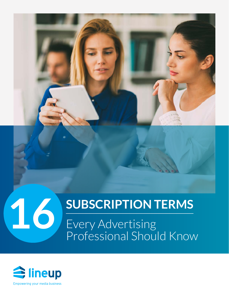## **SUBSCRIPTION TERMS**

Every Advertising Professional Should Know

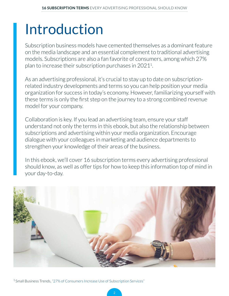# Introduction

Subscription business models have cemented themselves as a dominant feature on the media landscape and an essential complement to traditional advertising models. Subscriptions are also a fan favorite of consumers, among which 27% plan to increase their subscription purchases in 20211.

As an advertising professional, it's crucial to stay up to date on subscriptionrelated industry developments and terms so you can help position your media organization for success in today's economy. However, familiarizing yourself with these terms is only the first step on the journey to a strong combined revenue model for your company.

Collaboration is key. If you lead an advertising team, ensure your staff understand not only the terms in this ebook, but also the relationship between subscriptions and advertising within your media organization. Encourage dialogue with your colleagues in marketing and audience departments to strengthen your knowledge of their areas of the business.

In this ebook, we'll cover 16 subscription terms every advertising professional should know, as well as offer tips for how to keep this information top of mind in your day-to-day.



1 Small Business Trends, ["27% of Consumers Increase Use of Subscription Services"](https://smallbiztrends.com/2020/08/lost-in-transactions-survey-subscription-business.html)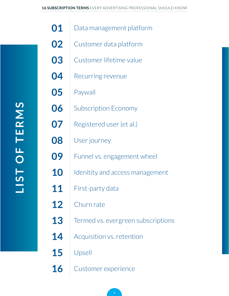| <u>ທ</u>       |
|----------------|
|                |
|                |
| Z<br>$\Box$    |
| m              |
|                |
| E              |
| $\blacksquare$ |
| $\bigcap$      |
|                |
| F              |
|                |
| <u>ဟ</u>       |
|                |
|                |

| 01 | Data management platform           |
|----|------------------------------------|
| 02 | Customer data platform             |
| 03 | Customer lifetime value            |
| 04 | Recurring revenue                  |
| 05 | Paywall                            |
| 06 | <b>Subscription Economy</b>        |
| 07 | Registered user (et al.)           |
| 08 | User journey                       |
| 09 | Funnel vs. engagement wheel        |
| 10 | Idenitity and access management    |
| 11 | First-party data                   |
| 12 | Churn rate                         |
| 13 | Termed vs. evergreen subscriptions |
| 14 | Acquisition vs. retention          |
| 15 | Upsell                             |
| 16 | Customer experience                |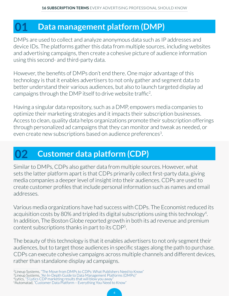#### <span id="page-3-0"></span>**01 Data management platform (DMP)**

DMPs are used to collect and analyze anonymous data such as IP addresses and device IDs. The platforms gather this data from multiple sources, including websites and advertising campaigns, then create a cohesive picture of audience information using this second- and third-party data.

However, the benefits of DMPs don't end there. One major advantage of this technology is that it enables advertisers to not only gather and segment data to better understand their various audiences, but also to launch targeted display ad campaigns through the DMP itself to drive website traffic2.

Having a singular data repository, such as a DMP, empowers media companies to optimize their marketing strategies and it impacts their subscription businesses. Access to clean, quality data helps organizations promote their subscription offerings through personalized ad campaigns that they can monitor and tweak as needed, or even create new subscriptions based on audience preferences<sup>3</sup>.

#### **02 Customer data platform (CDP)**

Similar to DMPs, CDPs also gather data from multiple sources. However, what sets the latter platform apart is that CDPs primarily collect first-party data, giving media companies a deeper level of insight into their audiences. CDPs are used to create customer profiles that include personal information such as names and email addresses.

Various media organizations have had success with CDPs. The Economist reduced its acquisition costs by 80% and tripled its digital subscriptions using this technology<sup>4</sup>. In addition, The Boston Globe reported growth in both its ad revenue and premium content subscriptions thanks in part to its CDP5.

The beauty of this technology is that it enables advertisers to not only segment their audiences, but to target those audiences in specific stages along the path to purchase. CDPs can execute cohesive campaigns across multiple channels and different devices, rather than standalone display ad campaigns.

<sup>&</sup>lt;sup>2</sup>Lineup Systems, ["The Move from DMPs to CDPs: What Publishers Need to Know"](https://www.lineup.com/newsroom/industry-analysis/dmps-to-cdps)<br><sup>3</sup>Lineup Systems[, "An In-Depth Guide to Data Management Platforms \(DMPs\)"](https://www.lineup.com/newsroom/industry-analysis/data-management-platform-guide)<br><sup>4</sup>Lytics, ["5 Lytics CDP marketing results that will blow you away"](https://www.lytics.com/blog/five-lytics-cdp-marketing-results-that-will-blow-you-away/)<br><sup></sup>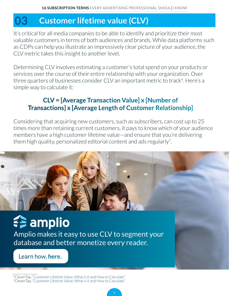#### <span id="page-4-0"></span>**03 Customer lifetime value (CLV)**

It's critical for all media companies to be able to identify and prioritize their most valuable customers in terms of both audiences and brands. While data platforms such as CDPs can help you illustrate an impressively clear picture of your audience, the CLV metric takes this insight to another level.

Determining CLV involves estimating a customer's total spend on your products or services over the course of their entire relationship with your organization. Over three quarters of businesses consider CLV an important metric to track<sup>6</sup>. Here's a simple way to calculate it:

#### **CLV = [Average Transaction Value] x [Number of Transactions] x [Average Length of Customer Relationship]**

Considering that acquiring new customers, such as subscribers, can cost up to 25 times more than retaining current customers, it pays to know which of your audience members have a high customer lifetime value—and ensure that you're delivering them high quality, personalized editorial content and ads regularly<sup>7</sup>.



# amplio

Amplio makes it easy to use CLV to segment your database and better monetize every reader.

[Learn how,](https://www.lineup.com/solutions/amplio) **here.**

6CleverTap, ["Customer Lifetime Value: What is it and How to Calculate"](https://clevertap.com/blog/customer-lifetime-value/#:~:text=Customer%20Lifetime%20Value%20Statistics,a%2025%25%20increase%20in%20profit.&text=Acquiring%20a%20new%20customer%20is,than%20retaining%20an%20existing%20customer.&text=Existing%20customers%20spend%2067%25%20more%20on%20average%20than%20new%20customers.) 7CleverTap, ["Customer Lifetime Value: What is it and How to Calculate"](https://clevertap.com/blog/customer-lifetime-value/#:~:text=Customer%20Lifetime%20Value%20Statistics,a%2025%25%20increase%20in%20profit.&text=Acquiring%20a%20new%20customer%20is,than%20retaining%20an%20existing%20customer.&text=Existing%20customers%20spend%2067%25%20more%20on%20average%20than%20new%20customers.)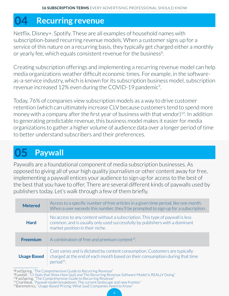#### <span id="page-5-0"></span>**04 Recurring revenue**

Netflix. Disney+. Spotify. These are all examples of household names with subscription-based recurring revenue models. When a customer signs up for a service of this nature on a recurring basis, they typically get charged either a monthly or yearly fee, which equals consistent revenue for the business<sup>8</sup>.

Creating subscription offerings and implementing a recurring revenue model can help media organizations weather difficult economic times. For example, in the softwareas-a-service industry, which is known for its subscription business model, subscription revenue increased 12% even during the COVID-19 pandemic<sup>9</sup>.

Today, 76% of companies view subscription models as a way to drive customer retention (which can ultimately increase CLV because customers tend to spend more money with a company after the first year of business with that vendor)<sup>10</sup>. In addition to generating predictable revenue, this business model makes it easier for media organizations to gather a higher volume of audience data over a longer period of time to better understand subscribers and their preferences.

## **05 Paywall**

Paywalls are a foundational component of media subscription businesses. As opposed to giving all of your high quality journalism or other content away for free, implementing a paywall entices your audience to sign up for access to the best of the best that you have to offer. There are several different kinds of paywalls used by publishers today. Let's walk through a few of them briefly.

| <b>Metered</b>     | Access to a specific number of free articles in a given time period, like one month.<br>When a user exceeds this number, they'll be prompted to sign up for a subscription.                     |
|--------------------|-------------------------------------------------------------------------------------------------------------------------------------------------------------------------------------------------|
| <b>Hard</b>        | No access to any content without a subscription. This type of paywall is less<br>common, and is usually only used successfully by publishers with a dominant<br>market position in their niche. |
| <b>Freemium</b>    | A combination of free and premium content $11$ .                                                                                                                                                |
| <b>Usage Based</b> | Cost varies and is dictated by content consumption. Customers are typically<br>charged at the end of each month based on their consumption during that time<br>period <sup>12</sup>             |

6

<sup>&</sup>lt;sup>8</sup>FastSpring, ["The Comprehensive Guide to Recurring Revenue"](https://fastspring.com/blog/the-comprehensive-guide-to-subscription-revenue/)<br><sup>9</sup>Fusebill, "11 Stats that Show How SaaS and The Recurring Revenue Software Model Is REALLY Doing"

<sup>&</sup>lt;sup>10</sup>FastSpring, ["The Comprehensive Guide to Recurring Revenue"](https://fastspring.com/blog/the-comprehensive-guide-to-subscription-revenue/)<br><sup>10</sup>FastSpring, "The Comprehensive Guide to Recurring Revenue"<br><sup>11</sup>Chartbeat, ["Paywall model breakdown: The current landscape and new frontier"](https://blog.chartbeat.com/2020/02/12/paywall-model-landscape-breakdown/#:~:text=Freemium%20paywall%20models%3A%20A%20mixed,%2C%20like%20telethon%20or%20cronut)<br><sup>12</sup>Baremetrics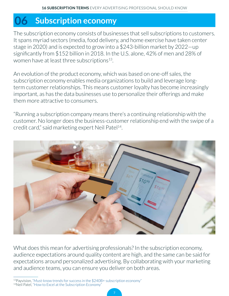#### <span id="page-6-0"></span>**06 Subscription economy**

The subscription economy consists of businesses that sell subscriptions to customers. It spans myriad sectors (media, food delivery, and home exercise have taken center stage in 2020) and is expected to grow into a \$243-billion market by 2022—up significantly from \$152 billion in 2018. In the U.S. alone, 42% of men and 28% of women have at least three subscriptions<sup>13</sup>.

An evolution of the product economy, which was based on one-off sales, the subscription economy enables media organizations to build and leverage longterm customer relationships. This means customer loyalty has become increasingly important, as has the data businesses use to personalize their offerings and make them more attractive to consumers.

"Running a subscription company means there's a continuing relationship with the customer. No longer does the business-customer relationship end with the swipe of a credit card," said marketing expert Neil Patel<sup>14</sup>.



What does this mean for advertising professionals? In the subscription economy, audience expectations around quality content are high, and the same can be said for expectations around personalized advertising. By collaborating with your marketing and audience teams, you can ensure you deliver on both areas.

13Payvision, ["Must-know trends for success in the \\$240B+ subscription economy"](https://www.payvision.com/payment-insights/trends/must-know-trends-for-success-in-the-240-billion-dollar-subscription-economy/) 14Neil Patel, ["How to Excel at the Subscription Economy"](https://neilpatel.com/blog/excel-at-subscription-economy/)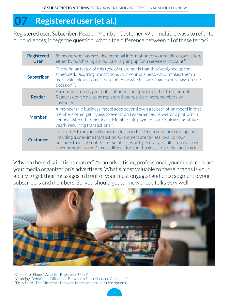#### <span id="page-7-0"></span>**07 Registered user (et al.)**

Registered user. Subscriber. Reader. Member. Customer. With multiple ways to refer to our audiences, it begs the question: what's the difference between all of these terms?

| <b>Registered</b><br><b>User</b> | Someone who has provided personal information to your media organization,<br>either by purchasing a product or signing up for a service or account <sup>15</sup> .                                                                                                                                                 |
|----------------------------------|--------------------------------------------------------------------------------------------------------------------------------------------------------------------------------------------------------------------------------------------------------------------------------------------------------------------|
| <b>Subscriber</b>                | The defining factor of this type of customer is that they've signed up for<br>scheduled, recurring transactions with your business, which makes them a<br>more valuable customer than someone who has only made a purchase on one<br>$occasion16$ .                                                                |
| <b>Reader</b>                    | Anyone who reads your publication, including your paid or free content.<br>Readers don't have to be registered users, subscribers, members, or<br>customers.                                                                                                                                                       |
| <b>Member</b>                    | A membership business model goes beyond even a subscription model in that<br>members often get access to events and experiences, as well as a platform to<br>connect with other members. Membership payments are typically monthly or<br>yearly recurring transactions <sup>17</sup> .                             |
| <b>Customer</b>                  | This refers to anyone who has made a purchase from your media company,<br>including a one-time transaction. Customers are far less loyal to your<br>business than subscribers or members, which generally results in precarious<br>revenue stability that's more difficult for your business to predict and track. |

Why do these distinctions matter? As an advertising professional, your customers are your media organization's advertisers. What's most valuable to these brands is your ability to get their messages in front of your most engaged audience segments: your subscribers and members. So, you should get to know these folks very well.



15Computer Hope, ["What is a Registered User?"](https://www.computerhope.com/jargon/r/regiuser.htm) <sup>16</sup>Cratejoy, ["What's the Difference Between a Subscriber and Customer?"](https://www.cratejoy.com/sell/blog/difference-between-subscriber-and-customer/) 17Daily Buzz, ["The Difference Between Memberships and Subscriptions"](https://associationsnow.com/2018/09/daily-buzz-difference-memberships-subscriptions/#:~:text=A%20subscription%20model%20requires%20people,to%20such%20a%20robust%20community)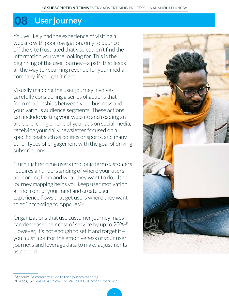#### <span id="page-8-0"></span>**08 User journey**

You've likely had the experience of visiting a website with poor navigation, only to bounce off the site frustrated that you couldn't find the information you were looking for. This is the beginning of the user journey—a path that leads all the way to recurring revenue for your media company, if you get it right.

Visually mapping the user journey involves carefully considering a series of actions that form relationships between your business and your various audience segments. These actions can include visiting your website and reading an article, clicking on one of your ads on social media, receiving your daily newsletter focused on a specific beat such as politics or sports, and many other types of engagement with the goal of driving subscriptions.

"Turning first-time users into long-term customers requires an understanding of where your users are coming from and what they want to do. User journey mapping helps you keep user motivation at the front of your mind and create user experience flows that get users where they want to go," according to Appcues<sup>18</sup>.

Organizations that use customer journey maps can decrease their cost of service by up to 20%19. However, it's not enough to set it and forget it you must monitor the effectiveness of your user journeys and leverage data to make adjustments as needed.



<sup>18</sup>Appcues, ["A complete guide to user journey mapping"](https://www.appcues.com/blog/user-journey-map)

<sup>19</sup>Forbes, ["50 Stats That Prove The Value Of Customer Experience"](https://www.forbes.com/sites/blakemorgan/2019/09/24/50-stats-that-prove-the-value-of-customer-experience/?sh=777e54054ef2)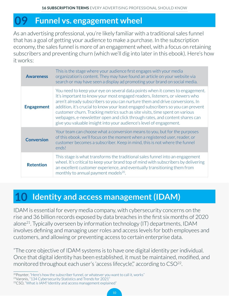#### <span id="page-9-0"></span>**09 Funnel vs. engagement wheel**

As an advertising professional, you're likely familiar with a traditional sales funnel that has a goal of getting your audience to make a purchase. In the subscription economy, the sales funnel is more of an engagement wheel, with a focus on retaining subscribers and preventing churn (which we'll dig into later in this ebook). Here's how it works:

| <b>Awareness</b>  | This is the stage where your audience first engages with your media<br>organization's content. They may have found an article on your website via<br>search or may have seen a display ad promoting your brand on social media.                                                                                                                                                                                                                                                                                                                                       |
|-------------------|-----------------------------------------------------------------------------------------------------------------------------------------------------------------------------------------------------------------------------------------------------------------------------------------------------------------------------------------------------------------------------------------------------------------------------------------------------------------------------------------------------------------------------------------------------------------------|
| <b>Engagement</b> | You need to keep your eye on several data points when it comes to engagement.<br>It's important to know your most engaged readers, listeners, or viewers who<br>aren't already subscribers so you can nurture them and drive conversions. In<br>addition, it's crucial to know your least engaged subscribers so you can prevent<br>customer churn. Tracking metrics such as site visits, time spent on various<br>webpages, e-newsletter open and click through rates, and content shares can<br>give you valuable insight into your audience's level of engagement. |
| <b>Conversion</b> | Your team can choose what a conversion means to you, but for the purposes<br>of this ebook, we'll focus on the moment when a registered user, reader, or<br>customer becomes a subscriber. Keep in mind, this is not where the funnel<br>ends!                                                                                                                                                                                                                                                                                                                        |
| <b>Retention</b>  | This stage is what transforms the traditional sales funnel into an engagement<br>wheel. It's critical to keep your brand top of mind with subscribers by delivering<br>an excellent customer experience, and eventually transitioning them from<br>monthly to annual payment models <sup>20</sup> .                                                                                                                                                                                                                                                                   |

#### **10 Identity and access management (IDAM)**

IDAM is essential for every media company, with cybersecurity concerns on the rise and 36 billion records exposed by data breaches in the first six months of 2020 alone21. Typically overseen by information technology (IT) departments, IDAM involves defining and managing user roles and access levels for both employees and customers, and allowing or preventing access to certain enterprise data.

"The core objective of IDAM systems is to have one digital identity per individual. Once that digital identity has been established, it must be maintained, modified, and monitored throughout each user's 'access lifecycle'," according to CSO<sup>22</sup>.

 $20P$  poynter, ["Here's how the subscriber funnel, or whatever you want to call it, works"](https://www.poynter.org/tech-tools/2018/here%C2%92s-how-the-subscriber-funnel-or-whatever-you-want-to-call-it-works/) 21Varonis, ["134 Cybersecurity Statistics and Trends for 2021"](https://www.varonis.com/blog/cybersecurity-statistics/)

<sup>22</sup>CSO, ["What is IAM? Identity and access management explained"](https://www.csoonline.com/article/2120384/what-is-iam-identity-and-access-management-explained.html)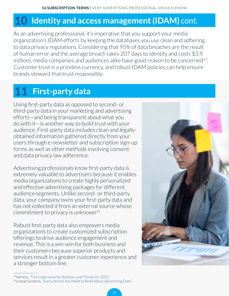#### <span id="page-10-0"></span>**10 Identity and access management (IDAM)** *cont.*

As an advertising professional, it's imperative that you support your media organization's IDAM efforts by keeping the databases you use clean and adhering to data privacy regulations. Considering that 95% of data breaches are the result of human error and the average breach takes 207 days to identify and costs \$3.9 million), media companies and audiences alike have good reason to be concerned<sup>23</sup>. Customer trust is a priceless currency, and robust IDAM policies can help ensure brands steward that trust responsibly.

## **11 First-party data**

Using first-party data as opposed to second- or third-party data in your marketing and advertising efforts—and being transparent about what you do with it—is another way to build trust with your audience. First-party data includes clean and legallyobtained information gathered directly from your users through e-newsletter and subscription sign-up forms as well as other methods involving consent and data privacy law adherence.

Advertising professionals know first-party data is extremely valuable to advertisers because it enables media organizations to create highly personalized and effective advertising packages for different audience segments. Unlike second- or third-party data, your company owns your first-party data and has not collected it from an external source whose commitment to privacy is unknown24.

Robust first-party data also empowers media organizations to create customized subscription offerings to drive audience engagement and revenue. This is a win-win for both business and their customers because superior products and services result in a greater customer experience and a stronger bottom line.



<sup>23</sup>Varonis, ["134 Cybersecurity Statistics and Trends for 2021"](https://www.varonis.com/blog/cybersecurity-statistics/) <sup>24</sup>Lineup Systems, ["Every Article You Need to Read About Advertising Data"](https://www.lineup.com/newsroom/advertising-data-articles)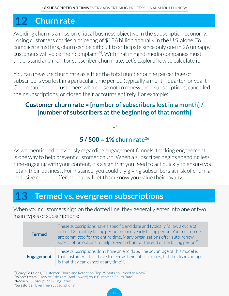## <span id="page-11-0"></span>**12 Churn rate**

Avoiding churn is a mission critical business objective in the subscription economy. Losing customers carries a price tag of \$136 billion annually in the U.S. alone. To complicate matters, churn can be difficult to anticipate since only one in 26 unhappy customers will voice their complaint<sup>25</sup>. With that in mind, media companies must understand and monitor subscriber churn rate. Let's explore how to calculate it.

You can measure churn rate as either the total number or the percentage of subscribers you lost in a particular time period (typically a month, quarter, or year). Churn can include customers who chose not to renew their subscriptions, cancelled their subscriptions, or closed their accounts entirely. For example:

#### **Customer churn rate = [number of subscribers lost in a month] / [number of subscribers at the beginning of that month]**

or

#### **5 / 500 = 1% churn rate26**

As we mentioned previously regarding engagement funnels, tracking engagement is one way to help prevent customer churn. When a subscriber begins spending less time engaging with your content, it's a sign that you need to act quickly to ensure you retain their business. For instance, you could try giving subscribers at risk of churn an exclusive content offering that will let them know you value their loyalty.

#### **13 Termed vs. evergreen subscriptions**

When your customers sign on the dotted line, they generally enter into one of two main types of subscriptions:

| <b>Termed</b>     | These subscriptions have a specific end date and typically follow a cycle of<br>either 12 monthly billing periods or one yearly billing period. Your customers<br>are committed for the entire time. Many organizations offer auto-renew<br>subscription options to help prevent churn at the end of the billing period <sup>27</sup> . |
|-------------------|-----------------------------------------------------------------------------------------------------------------------------------------------------------------------------------------------------------------------------------------------------------------------------------------------------------------------------------------|
| <b>Engagement</b> | These subscriptions don't have an end date. The advantage of this model is<br>that customers don't have to renew their subscriptions, but the disadvantage<br>is that they can cancel at any time $^{28}$ .                                                                                                                             |

25Gravy Solutions, ["Customer Churn and Retention: Top 25 Stats You Need to Know"](https://www.gravysolutions.io/post/customer-churn-rate-and-retention-top-25-stats-you-need-to-know)

<sup>26</sup>WordStream, ["How to Calculate \(And Lower!\) Your Customer Churn Rate"](https://www.wordstream.com/blog/ws/2014/05/12/customer-churn)

27Recurly, ["Subscription Billing Terms"](https://docs.recurly.com/docs/subscription-terms-new)

28Salesforce, ["Evergreen Subscriptions"](https://help.salesforce.com/articleView?id=sf.cpq_evergreen_parent.htm&type=5)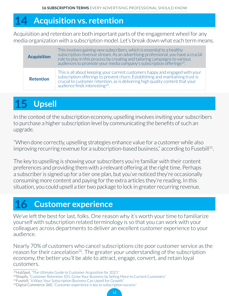#### <span id="page-12-0"></span>**14 Acquisition vs. retention**

Acquisition and retention are both important parts of the engagement wheel for any media organization with a subscription model. Let's break down what each term means.

| <b>Acquisition</b> | This involves gaining new subscribers, which is essential to a healthy<br>subscription revenue stream. As an advertising professional, you have a crucial<br>role to play in this process by creating and tailoring campaigns to various<br>audiences to promote your media company's subscription offerings <sup>29</sup> . |
|--------------------|------------------------------------------------------------------------------------------------------------------------------------------------------------------------------------------------------------------------------------------------------------------------------------------------------------------------------|
| <b>Retention</b>   | This is all about keeping your current customers happy and engaged with your<br>subscription offerings to prevent churn. Establishing and maintaining trust is<br>crucial to customer retention, as is delivering high quality content that your<br>audience finds interesting <sup>30</sup> .                               |

## **15 Upsell**

In the context of the subscription economy, upselling involves inviting your subscribers to purchase a higher subscription level by communicating the benefits of such an upgrade.

"When done correctly, upselling strategies enhance value for a customer while also improving recurring revenue for a subscription-based business," according to Fusebill<sup>31</sup>.

The key to upselling is showing your subscribers you're familiar with their content preferences and providing them with a relevant offering at the right time. Perhaps a subscriber is signed up for a tier one plan, but you've noticed they're occasionally consuming more content and paying for the extra articles they're reading. In this situation, you could upsell a tier two package to lock in greater recurring revenue.

### **16 Customer experience**

We've left the best for last, folks. One reason why it's worth your time to familiarize yourself with subscription related terminology is so that you can work with your colleagues across departments to deliver an excellent customer experience to your audience.

Nearly 70% of customers who cancel subscriptions cite poor customer service as the reason for their cancelation<sup>32</sup>. The greater your understanding of the subscription economy, the better you'll be able to attract, engage, convert, and retain loyal customers.

<sup>29</sup>HubSpot, ["The Ultimate Guide to Customer Acquisition for 2021"](https://blog.hubspot.com/service/customer-acquisition#:~:text=Customer%20acquisition%20is%20the%20process,of%20any%20age%20and%20size)

13

<sup>&</sup>lt;sup>20</sup>Shopify, ["Customer Retention 101: Grow Your Business by Selling More to Current Customers"](https://www.shopify.ca/blog/customer-retention-strategies)

<sup>&</sup>lt;sup>31</sup>Fusebill, ["6 Ways Your Subscription Business Can Upsell for Growth"](https://blog.fusebill.com/subscription-business-upsell-for-growth#:~:text=Upselling%20is%20a%20strategic%20sales,for%20a%20subscription%2Dbased%20business)

<sup>32</sup>Digital Commerce 360, ["Customer experience is key to subscription success"](https://www.digitalcommerce360.com/2019/12/05/customer-experience-is-key-to-subscription-success/)